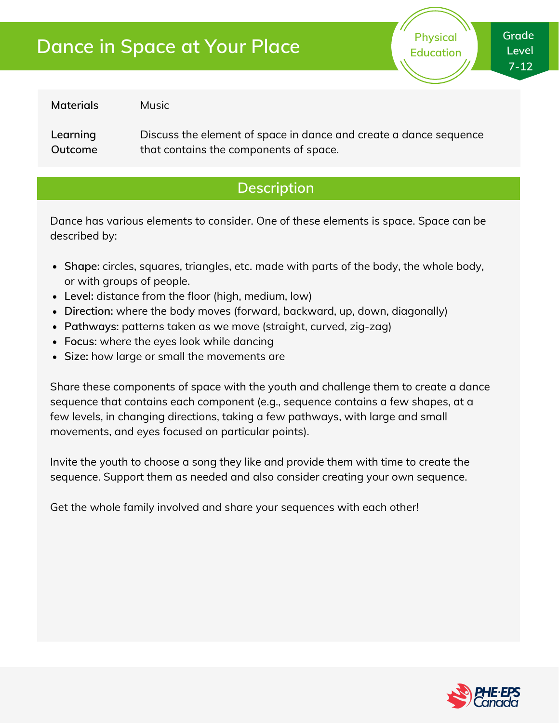# **Dance in Space at Your Place**

**Physical Education** **Grade Level 7-12**

**Materials**

Music

**Learning Outcome** Discuss the element of space in dance and create a dance sequence that contains the components of space.

## **Description**

Dance has various elements to consider. One of these elements is space. Space can be described by:

- **Shape:** circles, squares, triangles, etc. made with parts of the body, the whole body, or with groups of people.
- **Level:** distance from the floor (high, medium, low)
- **Direction:** where the body moves (forward, backward, up, down, diagonally)
- **Pathways:** patterns taken as we move (straight, curved, zig-zag)
- **Focus:** where the eyes look while dancing
- **Size:** how large or small the movements are

Share these components of space with the youth and challenge them to create a dance sequence that contains each component (e.g., sequence contains a few shapes, at a few levels, in changing directions, taking a few pathways, with large and small movements, and eyes focused on particular points).

Invite the youth to choose a song they like and provide them with time to create the sequence. Support them as needed and also consider creating your own sequence.

Get the whole family involved and share your sequences with each other!